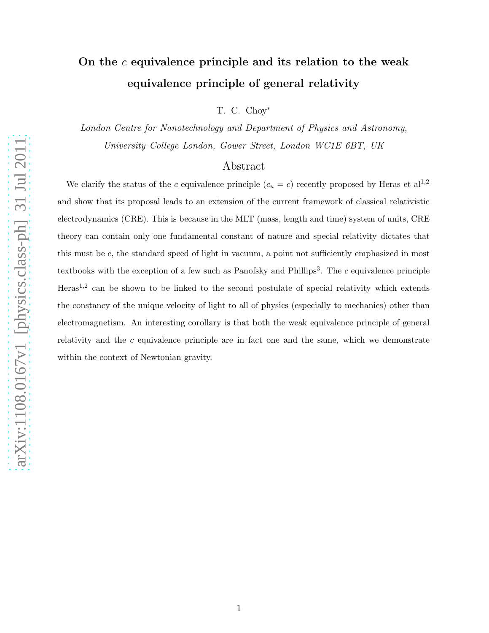# On the  $c$  equivalence principle and its relation to the weak equivalence principle of general relativity

T. C. Choy<sup>∗</sup>

London Centre for Nanotechnology and Department of Physics and Astronomy, University College London, Gower Street, London WC1E 6BT, UK

## Abstract

We clarify the status of the c equivalence principle  $(c_u = c)$  recently proposed by Heras et al<sup>1,2</sup> and show that its proposal leads to an extension of the current framework of classical relativistic electrodynamics (CRE). This is because in the MLT (mass, length and time) system of units, CRE theory can contain only one fundamental constant of nature and special relativity dictates that this must be c, the standard speed of light in vacuum, a point not sufficiently emphasized in most textbooks with the exception of a few such as Panofsky and Phillips<sup>3</sup>. The  $c$  equivalence principle Heras<sup>1,2</sup> can be shown to be linked to the second postulate of special relativity which extends the constancy of the unique velocity of light to all of physics (especially to mechanics) other than electromagnetism. An interesting corollary is that both the weak equivalence principle of general relativity and the  $c$  equivalence principle are in fact one and the same, which we demonstrate within the context of Newtonian gravity.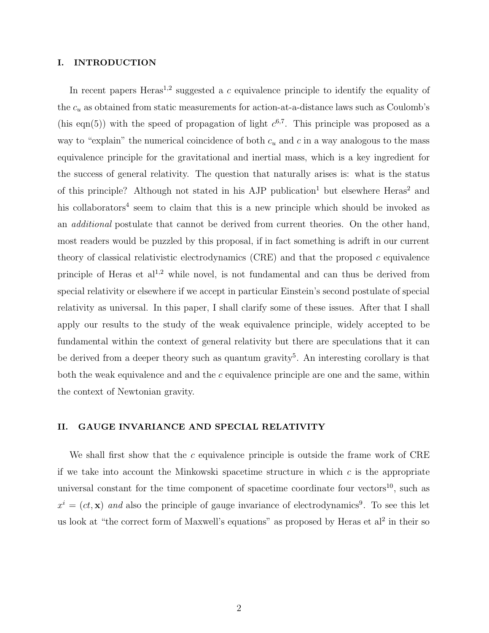#### I. INTRODUCTION

In recent papers Heras<sup>1,2</sup> suggested a c equivalence principle to identify the equality of the  $c_u$  as obtained from static measurements for action-at-a-distance laws such as Coulomb's (his eqn(5)) with the speed of propagation of light  $c^{6,7}$ . This principle was proposed as a way to "explain" the numerical coincidence of both  $c<sub>u</sub>$  and c in a way analogous to the mass equivalence principle for the gravitational and inertial mass, which is a key ingredient for the success of general relativity. The question that naturally arises is: what is the status of this principle? Although not stated in his AJP publication<sup>1</sup> but elsewhere Heras<sup>2</sup> and his collaborators<sup>4</sup> seem to claim that this is a new principle which should be invoked as an additional postulate that cannot be derived from current theories. On the other hand, most readers would be puzzled by this proposal, if in fact something is adrift in our current theory of classical relativistic electrodynamics (CRE) and that the proposed c equivalence principle of Heras et  $al^{1,2}$  while novel, is not fundamental and can thus be derived from special relativity or elsewhere if we accept in particular Einstein's second postulate of special relativity as universal. In this paper, I shall clarify some of these issues. After that I shall apply our results to the study of the weak equivalence principle, widely accepted to be fundamental within the context of general relativity but there are speculations that it can be derived from a deeper theory such as quantum gravity<sup>5</sup>. An interesting corollary is that both the weak equivalence and and the c equivalence principle are one and the same, within the context of Newtonian gravity.

### II. GAUGE INVARIANCE AND SPECIAL RELATIVITY

We shall first show that the c equivalence principle is outside the frame work of  $CRE$ if we take into account the Minkowski spacetime structure in which  $c$  is the appropriate universal constant for the time component of spacetime coordinate four vectors $^{10}$ , such as  $x^i = (ct, \mathbf{x})$  and also the principle of gauge invariance of electrodynamics<sup>9</sup>. To see this let us look at "the correct form of Maxwell's equations" as proposed by Heras et al<sup>2</sup> in their so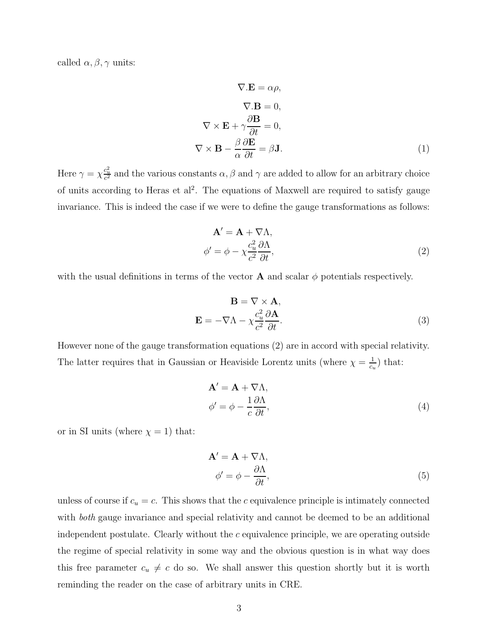called  $\alpha, \beta, \gamma$  units:

$$
\nabla \cdot \mathbf{E} = \alpha \rho,
$$
  
\n
$$
\nabla \cdot \mathbf{B} = 0,
$$
  
\n
$$
\nabla \times \mathbf{E} + \gamma \frac{\partial \mathbf{B}}{\partial t} = 0,
$$
  
\n
$$
\nabla \times \mathbf{B} - \frac{\beta}{\alpha} \frac{\partial \mathbf{E}}{\partial t} = \beta \mathbf{J}.
$$
 (1)

Here  $\gamma = \chi \frac{c_u^2}{c^2}$  and the various constants  $\alpha, \beta$  and  $\gamma$  are added to allow for an arbitrary choice of units according to Heras et al<sup>2</sup>. The equations of Maxwell are required to satisfy gauge invariance. This is indeed the case if we were to define the gauge transformations as follows:

$$
\mathbf{A}' = \mathbf{A} + \nabla \Lambda,
$$
  
\n
$$
\phi' = \phi - \chi \frac{c_u^2}{c^2} \frac{\partial \Lambda}{\partial t},
$$
\n(2)

with the usual definitions in terms of the vector **A** and scalar  $\phi$  potentials respectively.

$$
\mathbf{B} = \nabla \times \mathbf{A},
$$
  

$$
\mathbf{E} = -\nabla \Lambda - \chi \frac{c_u^2}{c^2} \frac{\partial \mathbf{A}}{\partial t}.
$$
 (3)

However none of the gauge transformation equations (2) are in accord with special relativity. The latter requires that in Gaussian or Heaviside Lorentz units (where  $\chi = \frac{1}{c}$  $\frac{1}{c_u}$ ) that:

$$
\mathbf{A}' = \mathbf{A} + \nabla \Lambda, \n\phi' = \phi - \frac{1}{c} \frac{\partial \Lambda}{\partial t},
$$
\n(4)

or in SI units (where  $\chi = 1$ ) that:

$$
\mathbf{A}' = \mathbf{A} + \nabla \Lambda, \n\phi' = \phi - \frac{\partial \Lambda}{\partial t},
$$
\n(5)

unless of course if  $c_u = c$ . This shows that the c equivalence principle is intimately connected with both gauge invariance and special relativity and cannot be deemed to be an additional independent postulate. Clearly without the c equivalence principle, we are operating outside the regime of special relativity in some way and the obvious question is in what way does this free parameter  $c_u \neq c$  do so. We shall answer this question shortly but it is worth reminding the reader on the case of arbitrary units in CRE.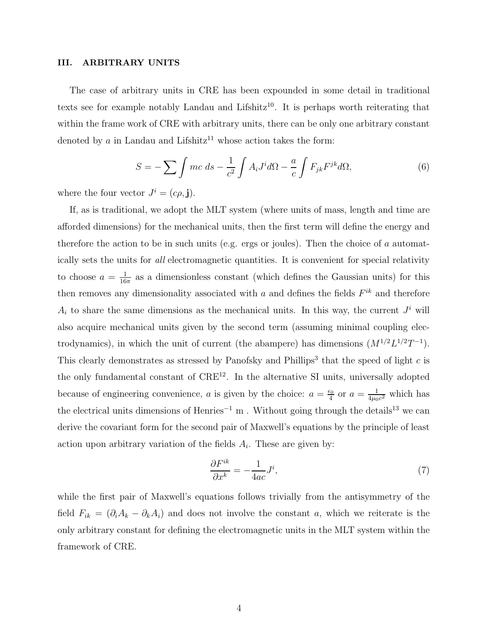#### III. ARBITRARY UNITS

The case of arbitrary units in CRE has been expounded in some detail in traditional texts see for example notably Landau and Lifshitz<sup>10</sup>. It is perhaps worth reiterating that within the frame work of CRE with arbitrary units, there can be only one arbitrary constant denoted by a in Landau and Lifshitz<sup>11</sup> whose action takes the form:

$$
S = -\sum \int mc \, ds - \frac{1}{c^2} \int A_i J^i d\Omega - \frac{a}{c} \int F_{jk} F^{jk} d\Omega, \tag{6}
$$

where the four vector  $J^i = (c\rho, \mathbf{j}).$ 

If, as is traditional, we adopt the MLT system (where units of mass, length and time are afforded dimensions) for the mechanical units, then the first term will define the energy and therefore the action to be in such units (e.g. ergs or joules). Then the choice of a automatically sets the units for all electromagnetic quantities. It is convenient for special relativity to choose  $a = \frac{1}{16}$  $\frac{1}{16\pi}$  as a dimensionless constant (which defines the Gaussian units) for this then removes any dimensionality associated with a and defines the fields  $F^{ik}$  and therefore  $A_i$  to share the same dimensions as the mechanical units. In this way, the current  $J^i$  will also acquire mechanical units given by the second term (assuming minimal coupling electrodynamics), in which the unit of current (the abampere) has dimensions  $(M^{1/2}L^{1/2}T^{-1})$ . This clearly demonstrates as stressed by Panofsky and Phillips<sup>3</sup> that the speed of light  $c$  is the only fundamental constant of  $\text{CRE}^{12}$ . In the alternative SI units, universally adopted because of engineering convenience, a is given by the choice:  $a = \frac{\epsilon_0}{4}$  $\frac{\varepsilon_0}{4}$  or  $a=\frac{1}{4\mu_0}$  $\frac{1}{4\mu_0 c^2}$  which has the electrical units dimensions of Henries<sup>-1</sup> m. Without going through the details<sup>13</sup> we can derive the covariant form for the second pair of Maxwell's equations by the principle of least action upon arbitrary variation of the fields  $A_i$ . These are given by:

$$
\frac{\partial F^{ik}}{\partial x^k} = -\frac{1}{4ac} J^i,\tag{7}
$$

while the first pair of Maxwell's equations follows trivially from the antisymmetry of the field  $F_{ik} = (\partial_i A_k - \partial_k A_i)$  and does not involve the constant a, which we reiterate is the only arbitrary constant for defining the electromagnetic units in the MLT system within the framework of CRE.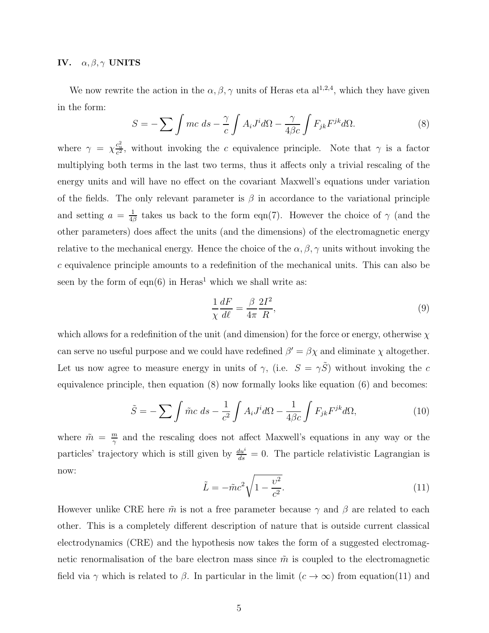#### IV.  $\alpha, \beta, \gamma$  UNITS

We now rewrite the action in the  $\alpha, \beta, \gamma$  units of Heras eta al<sup>1,2,4</sup>, which they have given in the form:

$$
S = -\sum \int mc \, ds - \frac{\gamma}{c} \int A_i J^i d\Omega - \frac{\gamma}{4\beta c} \int F_{jk} F^{jk} d\Omega.
$$
 (8)

where  $\gamma = \chi_{c}^{c_u^2}$ , without invoking the c equivalence principle. Note that  $\gamma$  is a factor multiplying both terms in the last two terms, thus it affects only a trivial rescaling of the energy units and will have no effect on the covariant Maxwell's equations under variation of the fields. The only relevant parameter is  $\beta$  in accordance to the variational principle and setting  $a = \frac{1}{4}$  $\frac{1}{4\beta}$  takes us back to the form eqn(7). However the choice of  $\gamma$  (and the other parameters) does affect the units (and the dimensions) of the electromagnetic energy relative to the mechanical energy. Hence the choice of the  $\alpha, \beta, \gamma$  units without invoking the c equivalence principle amounts to a redefinition of the mechanical units. This can also be seen by the form of eqn(6) in  $Heras<sup>1</sup>$  which we shall write as:

$$
\frac{1}{\chi}\frac{dF}{d\ell} = \frac{\beta}{4\pi}\frac{2I^2}{R},\tag{9}
$$

which allows for a redefinition of the unit (and dimension) for the force or energy, otherwise  $\chi$ can serve no useful purpose and we could have redefined  $\beta' = \beta \chi$  and eliminate  $\chi$  altogether. Let us now agree to measure energy in units of  $\gamma$ , (i.e.  $S = \gamma \tilde{S}$ ) without invoking the c equivalence principle, then equation (8) now formally looks like equation (6) and becomes:

$$
\tilde{S} = -\sum \int \tilde{m}c \, ds - \frac{1}{c^2} \int A_i J^i d\Omega - \frac{1}{4\beta c} \int F_{jk} F^{jk} d\Omega, \tag{10}
$$

where  $\tilde{m} = \frac{m}{\gamma}$  $\frac{m}{\gamma}$  and the rescaling does not affect Maxwell's equations in any way or the particles' trajectory which is still given by  $\frac{du^i}{ds} = 0$ . The particle relativistic Lagrangian is now:

$$
\tilde{L} = -\tilde{m}c^2 \sqrt{1 - \frac{v^2}{c^2}}.
$$
\n(11)

However unlike CRE here  $\tilde{m}$  is not a free parameter because  $\gamma$  and  $\beta$  are related to each other. This is a completely different description of nature that is outside current classical electrodynamics (CRE) and the hypothesis now takes the form of a suggested electromagnetic renormalisation of the bare electron mass since  $\tilde{m}$  is coupled to the electromagnetic field via  $\gamma$  which is related to  $\beta$ . In particular in the limit  $(c \to \infty)$  from equation(11) and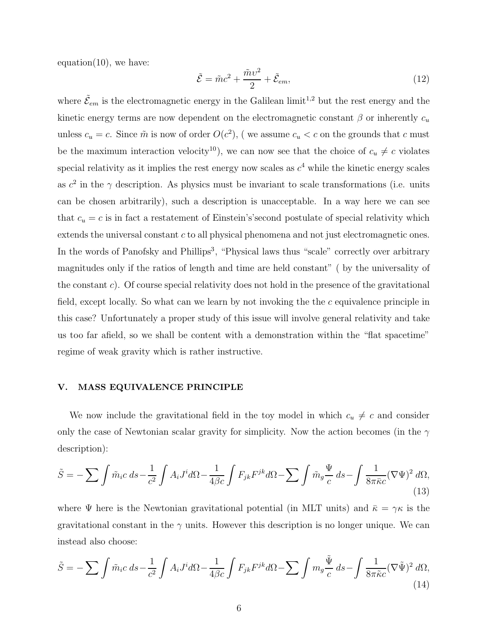equation $(10)$ , we have:

$$
\tilde{\mathcal{E}} = \tilde{m}c^2 + \frac{\tilde{m}\upsilon^2}{2} + \tilde{\mathcal{E}}_{em},\tag{12}
$$

where  $\tilde{\mathcal{E}}_{em}$  is the electromagnetic energy in the Galilean limit<sup>1,2</sup> but the rest energy and the kinetic energy terms are now dependent on the electromagnetic constant  $\beta$  or inherently  $c_u$ unless  $c_u = c$ . Since  $\tilde{m}$  is now of order  $O(c^2)$ , (we assume  $c_u < c$  on the grounds that c must be the maximum interaction velocity<sup>10</sup>), we can now see that the choice of  $c_u \neq c$  violates special relativity as it implies the rest energy now scales as  $c<sup>4</sup>$  while the kinetic energy scales as  $c^2$  in the  $\gamma$  description. As physics must be invariant to scale transformations (i.e. units can be chosen arbitrarily), such a description is unacceptable. In a way here we can see that  $c_u = c$  is in fact a restatement of Einstein's's econd postulate of special relativity which extends the universal constant c to all physical phenomena and not just electromagnetic ones. In the words of Panofsky and Phillips<sup>3</sup>, "Physical laws thus "scale" correctly over arbitrary magnitudes only if the ratios of length and time are held constant" ( by the universality of the constant c). Of course special relativity does not hold in the presence of the gravitational field, except locally. So what can we learn by not invoking the the c equivalence principle in this case? Unfortunately a proper study of this issue will involve general relativity and take us too far afield, so we shall be content with a demonstration within the "flat spacetime" regime of weak gravity which is rather instructive.

## V. MASS EQUIVALENCE PRINCIPLE

We now include the gravitational field in the toy model in which  $c_u \neq c$  and consider only the case of Newtonian scalar gravity for simplicity. Now the action becomes (in the  $\gamma$ description):

$$
\tilde{S} = -\sum \int \tilde{m}_i c \, ds - \frac{1}{c^2} \int A_i J^i d\Omega - \frac{1}{4\beta c} \int F_{jk} F^{jk} d\Omega - \sum \int \tilde{m}_g \frac{\Psi}{c} \, ds - \int \frac{1}{8\pi \bar{\kappa} c} (\nabla \Psi)^2 \, d\Omega,\tag{13}
$$

where  $\Psi$  here is the Newtonian gravitational potential (in MLT units) and  $\bar{\kappa} = \gamma \kappa$  is the gravitational constant in the  $\gamma$  units. However this description is no longer unique. We can instead also choose:

$$
\tilde{S} = -\sum \int \tilde{m}_i c \, ds - \frac{1}{c^2} \int A_i J^i d\Omega - \frac{1}{4\beta c} \int F_{jk} F^{jk} d\Omega - \sum \int m_g \frac{\tilde{\Psi}}{c} \, ds - \int \frac{1}{8\pi \tilde{\kappa} c} (\nabla \tilde{\Psi})^2 \, d\Omega,
$$
\n(14)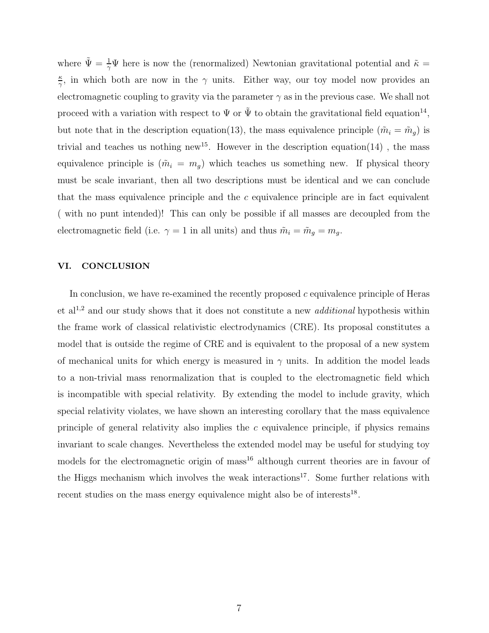where  $\tilde{\Psi} = \frac{1}{\gamma} \Psi$  here is now the (renormalized) Newtonian gravitational potential and  $\tilde{\kappa} =$ κ  $\frac{\kappa}{\gamma}$ , in which both are now in the  $\gamma$  units. Either way, our toy model now provides an electromagnetic coupling to gravity via the parameter  $\gamma$  as in the previous case. We shall not proceed with a variation with respect to  $\Psi$  or  $\tilde{\Psi}$  to obtain the gravitational field equation<sup>14</sup>, but note that in the description equation(13), the mass equivalence principle  $(\tilde{m}_i = \tilde{m}_g)$  is trivial and teaches us nothing new<sup>15</sup>. However in the description equation(14), the mass equivalence principle is  $(\tilde{m}_i = m_q)$  which teaches us something new. If physical theory must be scale invariant, then all two descriptions must be identical and we can conclude that the mass equivalence principle and the c equivalence principle are in fact equivalent ( with no punt intended)! This can only be possible if all masses are decoupled from the electromagnetic field (i.e.  $\gamma = 1$  in all units) and thus  $\tilde{m}_i = \tilde{m}_g = m_g$ .

#### VI. CONCLUSION

In conclusion, we have re-examined the recently proposed  $c$  equivalence principle of Heras et al<sup>1,2</sup> and our study shows that it does not constitute a new *additional* hypothesis within the frame work of classical relativistic electrodynamics (CRE). Its proposal constitutes a model that is outside the regime of CRE and is equivalent to the proposal of a new system of mechanical units for which energy is measured in  $\gamma$  units. In addition the model leads to a non-trivial mass renormalization that is coupled to the electromagnetic field which is incompatible with special relativity. By extending the model to include gravity, which special relativity violates, we have shown an interesting corollary that the mass equivalence principle of general relativity also implies the  $c$  equivalence principle, if physics remains invariant to scale changes. Nevertheless the extended model may be useful for studying toy models for the electromagnetic origin of mass<sup>16</sup> although current theories are in favour of the Higgs mechanism which involves the weak interactions<sup>17</sup>. Some further relations with recent studies on the mass energy equivalence might also be of interests<sup>18</sup>.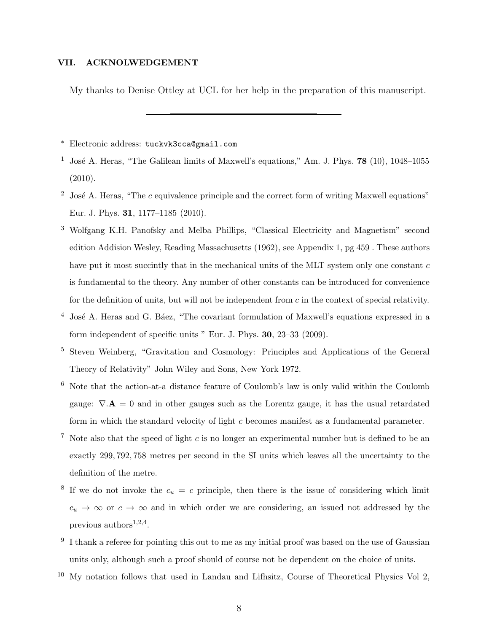#### VII. ACKNOLWEDGEMENT

My thanks to Denise Ottley at UCL for her help in the preparation of this manuscript.

<sup>∗</sup> Electronic address: tuckvk3cca@gmail.com

- <sup>1</sup> José A. Heras, "The Galilean limits of Maxwell's equations," Am. J. Phys. **78** (10), 1048–1055 (2010).
- <sup>2</sup> José A. Heras, "The c equivalence principle and the correct form of writing Maxwell equations" Eur. J. Phys. 31, 1177–1185 (2010).
- <sup>3</sup> Wolfgang K.H. Panofsky and Melba Phillips, "Classical Electricity and Magnetism" second edition Addision Wesley, Reading Massachusetts (1962), see Appendix 1, pg 459 . These authors have put it most succintly that in the mechanical units of the MLT system only one constant c is fundamental to the theory. Any number of other constants can be introduced for convenience for the definition of units, but will not be independent from  $c$  in the context of special relativity.
- $4$  José A. Heras and G. Báez, "The covariant formulation of Maxwell's equations expressed in a form independent of specific units " Eur. J. Phys. 30, 23–33 (2009).
- <sup>5</sup> Steven Weinberg, "Gravitation and Cosmology: Principles and Applications of the General Theory of Relativity" John Wiley and Sons, New York 1972.
- <sup>6</sup> Note that the action-at-a distance feature of Coulomb's law is only valid within the Coulomb gauge:  $\nabla \mathbf{A} = 0$  and in other gauges such as the Lorentz gauge, it has the usual retardated form in which the standard velocity of light c becomes manifest as a fundamental parameter.
- <sup>7</sup> Note also that the speed of light c is no longer an experimental number but is defined to be an exactly 299, 792, 758 metres per second in the SI units which leaves all the uncertainty to the definition of the metre.
- <sup>8</sup> If we do not invoke the  $c_u = c$  principle, then there is the issue of considering which limit  $c_u \rightarrow \infty$  or  $c \rightarrow \infty$  and in which order we are considering, an issued not addressed by the previous  $\text{authors}^{1,2,4}$ .
- $9\,$  I thank a referee for pointing this out to me as my initial proof was based on the use of Gaussian units only, although such a proof should of course not be dependent on the choice of units.
- <sup>10</sup> My notation follows that used in Landau and Lifhsitz, Course of Theoretical Physics Vol 2,